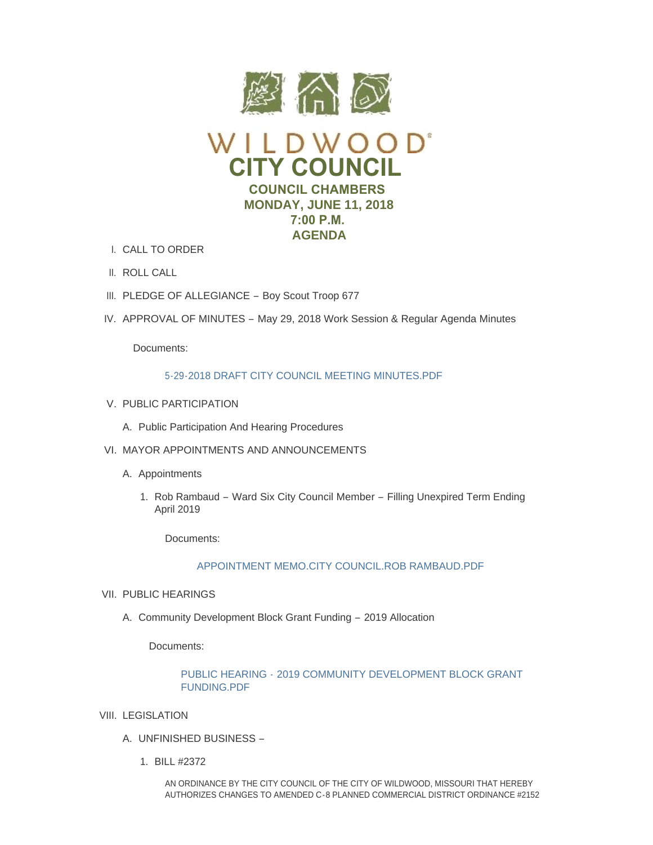

- CALL TO ORDER I.
- II. ROLL CALL
- III. PLEDGE OF ALLEGIANCE Boy Scout Troop 677
- IV. APPROVAL OF MINUTES May 29, 2018 Work Session & Regular Agenda Minutes

Documents:

# [5-29-2018 DRAFT CITY COUNCIL MEETING MINUTES.PDF](https://www.cityofwildwood.com/AgendaCenter/ViewFile/Item/15553?fileID=23361)

- V. PUBLIC PARTICIPATION
	- A. Public Participation And Hearing Procedures
- VI. MAYOR APPOINTMENTS AND ANNOUNCEMENTS
	- A. Appointments
		- 1. Rob Rambaud Ward Six City Council Member Filling Unexpired Term Ending April 2019

Documents:

[APPOINTMENT MEMO.CITY COUNCIL.ROB RAMBAUD.PDF](https://www.cityofwildwood.com/AgendaCenter/ViewFile/Item/15558?fileID=23362)

- VII. PUBLIC HEARINGS
	- A. Community Development Block Grant Funding 2019 Allocation

Documents:

# PUBLIC HEARING - [2019 COMMUNITY DEVELOPMENT BLOCK GRANT](https://www.cityofwildwood.com/AgendaCenter/ViewFile/Item/15753?fileID=23446)  FUNDING.PDF

- VIII. LEGISLATION
	- UNFINISHED BUSINESS A.
		- BILL #2372 1.

AN ORDINANCE BY THE CITY COUNCIL OF THE CITY OF WILDWOOD, MISSOURI THAT HEREBY AUTHORIZES CHANGES TO AMENDED C-8 PLANNED COMMERCIAL DISTRICT ORDINANCE #2152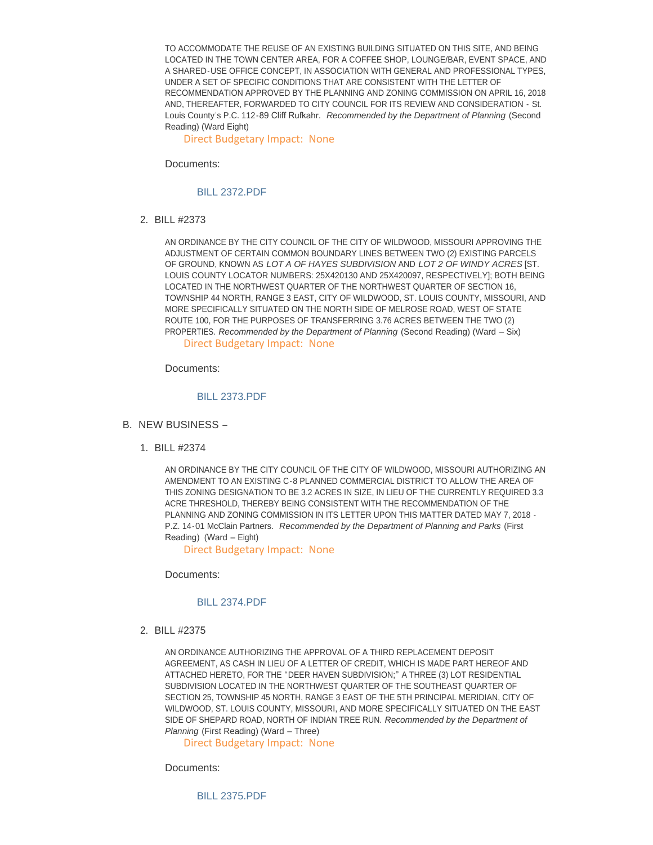TO ACCOMMODATE THE REUSE OF AN EXISTING BUILDING SITUATED ON THIS SITE, AND BEING LOCATED IN THE TOWN CENTER AREA, FOR A COFFEE SHOP, LOUNGE/BAR, EVENT SPACE, AND A SHARED-USE OFFICE CONCEPT, IN ASSOCIATION WITH GENERAL AND PROFESSIONAL TYPES, UNDER A SET OF SPECIFIC CONDITIONS THAT ARE CONSISTENT WITH THE LETTER OF RECOMMENDATION APPROVED BY THE PLANNING AND ZONING COMMISSION ON APRIL 16, 2018 AND, THEREAFTER, FORWARDED TO CITY COUNCIL FOR ITS REVIEW AND CONSIDERATION - St. Louis County' s P.C. 112-89 Cliff Rufkahr. *Recommended by the Department of Planning* (Second Reading) (Ward Eight)

Direct Budgetary Impact: None

Documents:

### [BILL 2372.PDF](https://www.cityofwildwood.com/AgendaCenter/ViewFile/Item/15563?fileID=23363)

BILL #2373 2.

AN ORDINANCE BY THE CITY COUNCIL OF THE CITY OF WILDWOOD, MISSOURI APPROVING THE ADJUSTMENT OF CERTAIN COMMON BOUNDARY LINES BETWEEN TWO (2) EXISTING PARCELS OF GROUND, KNOWN AS *LOT A OF HAYES SUBDIVISION* AND *LOT 2 OF WINDY ACRES* [ST. LOUIS COUNTY LOCATOR NUMBERS: 25X420130 AND 25X420097, RESPECTIVELY]; BOTH BEING LOCATED IN THE NORTHWEST QUARTER OF THE NORTHWEST QUARTER OF SECTION 16, TOWNSHIP 44 NORTH, RANGE 3 EAST, CITY OF WILDWOOD, ST. LOUIS COUNTY, MISSOURI, AND MORE SPECIFICALLY SITUATED ON THE NORTH SIDE OF MELROSE ROAD, WEST OF STATE ROUTE 100, FOR THE PURPOSES OF TRANSFERRING 3.76 ACRES BETWEEN THE TWO (2) PROPERTIES. *Recommended by the Department of Planning* (Second Reading) (Ward – Six) Direct Budgetary Impact: None

Documents:

#### [BILL 2373.PDF](https://www.cityofwildwood.com/AgendaCenter/ViewFile/Item/15564?fileID=23364)

- B. NEW BUSINESS
	- BILL #2374 1.

AN ORDINANCE BY THE CITY COUNCIL OF THE CITY OF WILDWOOD, MISSOURI AUTHORIZING AN AMENDMENT TO AN EXISTING C-8 PLANNED COMMERCIAL DISTRICT TO ALLOW THE AREA OF THIS ZONING DESIGNATION TO BE 3.2 ACRES IN SIZE, IN LIEU OF THE CURRENTLY REQUIRED 3.3 ACRE THRESHOLD, THEREBY BEING CONSISTENT WITH THE RECOMMENDATION OF THE PLANNING AND ZONING COMMISSION IN ITS LETTER UPON THIS MATTER DATED MAY 7, 2018 - P.Z. 14-01 McClain Partners. *Recommended by the Department of Planning and Parks* (First Reading) (Ward – Eight)

Direct Budgetary Impact: None

Documents:

## [BILL 2374.PDF](https://www.cityofwildwood.com/AgendaCenter/ViewFile/Item/15566?fileID=23365)

BILL #2375 2.

AN ORDINANCE AUTHORIZING THE APPROVAL OF A THIRD REPLACEMENT DEPOSIT AGREEMENT, AS CASH IN LIEU OF A LETTER OF CREDIT, WHICH IS MADE PART HEREOF AND ATTACHED HERETO, FOR THE "DEER HAVEN SUBDIVISION;" A THREE (3) LOT RESIDENTIAL SUBDIVISION LOCATED IN THE NORTHWEST QUARTER OF THE SOUTHEAST QUARTER OF SECTION 25, TOWNSHIP 45 NORTH, RANGE 3 EAST OF THE 5TH PRINCIPAL MERIDIAN, CITY OF WILDWOOD, ST. LOUIS COUNTY, MISSOURI, AND MORE SPECIFICALLY SITUATED ON THE EAST SIDE OF SHEPARD ROAD, NORTH OF INDIAN TREE RUN. *Recommended by the Department of Planning* (First Reading) (Ward – Three)

Direct Budgetary Impact: None

Documents:

[BILL 2375.PDF](https://www.cityofwildwood.com/AgendaCenter/ViewFile/Item/15567?fileID=23366)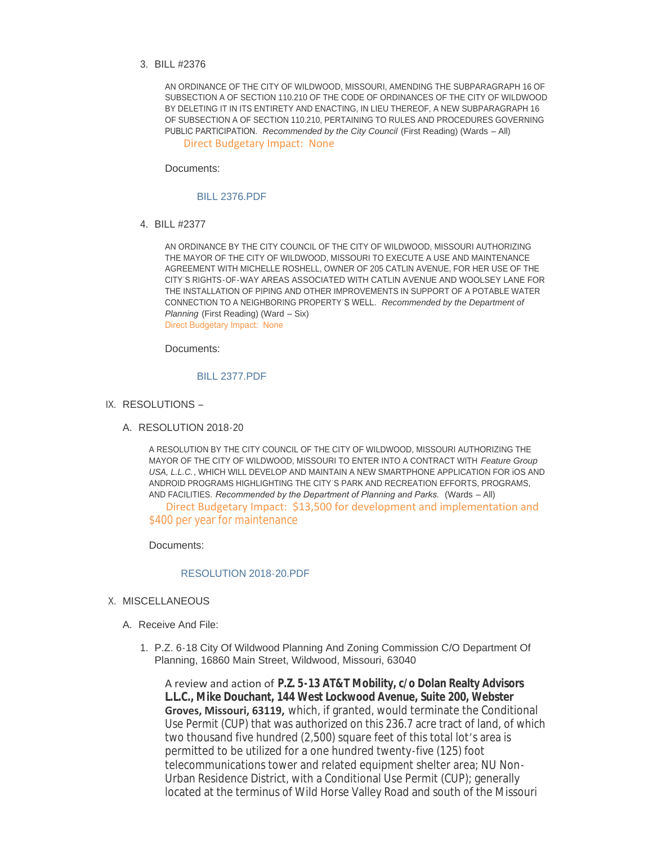## BILL #2376 3.

AN ORDINANCE OF THE CITY OF WILDWOOD, MISSOURI, AMENDING THE SUBPARAGRAPH 16 OF SUBSECTION A OF SECTION 110.210 OF THE CODE OF ORDINANCES OF THE CITY OF WILDWOOD BY DELETING IT IN ITS ENTIRETY AND ENACTING, IN LIEU THEREOF, A NEW SUBPARAGRAPH 16 OF SUBSECTION A OF SECTION 110.210, PERTAINING TO RULES AND PROCEDURES GOVERNING PUBLIC PARTICIPATION. *Recommended by the City Council* (First Reading) (Wards – All) Direct Budgetary Impact: None

Documents:

#### [BILL 2376.PDF](https://www.cityofwildwood.com/AgendaCenter/ViewFile/Item/15568?fileID=23367)

BILL #2377 4.

AN ORDINANCE BY THE CITY COUNCIL OF THE CITY OF WILDWOOD, MISSOURI AUTHORIZING THE MAYOR OF THE CITY OF WILDWOOD, MISSOURI TO EXECUTE A USE AND MAINTENANCE AGREEMENT WITH MICHELLE ROSHELL, OWNER OF 205 CATLIN AVENUE, FOR HER USE OF THE CITY'S RIGHTS-OF-WAY AREAS ASSOCIATED WITH CATLIN AVENUE AND WOOLSEY LANE FOR THE INSTALLATION OF PIPING AND OTHER IMPROVEMENTS IN SUPPORT OF A POTABLE WATER CONNECTION TO A NEIGHBORING PROPERTY'S WELL. *Recommended by the Department of Planning* (First Reading) (Ward – Six) Direct Budgetary Impact: None

Documents:

# [BILL 2377.PDF](https://www.cityofwildwood.com/AgendaCenter/ViewFile/Item/15569?fileID=23368)

- IX. RESOLUTIONS
	- A. RESOLUTION 2018-20

A RESOLUTION BY THE CITY COUNCIL OF THE CITY OF WILDWOOD, MISSOURI AUTHORIZING THE MAYOR OF THE CITY OF WILDWOOD, MISSOURI TO ENTER INTO A CONTRACT WITH *Feature Group USA, L.L.C.*, WHICH WILL DEVELOP AND MAINTAIN A NEW SMARTPHONE APPLICATION FOR iOS AND ANDROID PROGRAMS HIGHLIGHTING THE CITY'S PARK AND RECREATION EFFORTS, PROGRAMS, AND FACILITIES. *Recommended by the Department of Planning and Parks.* (Wards – All) Direct Budgetary Impact: \$13,500 for development and implementation and \$400 per year for maintenance

Documents:

## [RESOLUTION 2018-20.PDF](https://www.cityofwildwood.com/AgendaCenter/ViewFile/Item/15571?fileID=23369)

- X. MISCELLANEOUS
	- A. Receive And File:
		- 1. P.Z. 6-18 City Of Wildwood Planning And Zoning Commission C/O Department Of Planning, 16860 Main Street, Wildwood, Missouri, 63040

A review and action of **P.Z. 5-13 AT&T Mobility, c/o Dolan Realty Advisors L.L.C., Mike Douchant, 144 West Lockwood Avenue, Suite 200, Webster Groves, Missouri, 63119,** which, if granted, would terminate the Conditional Use Permit (CUP) that was authorized on this 236.7 acre tract of land, of which two thousand five hundred (2,500) square feet of this total lot's area is permitted to be utilized for a one hundred twenty-five (125) foot telecommunications tower and related equipment shelter area; NU Non-Urban Residence District, with a Conditional Use Permit (CUP); generally located at the terminus of Wild Horse Valley Road and south of the Missouri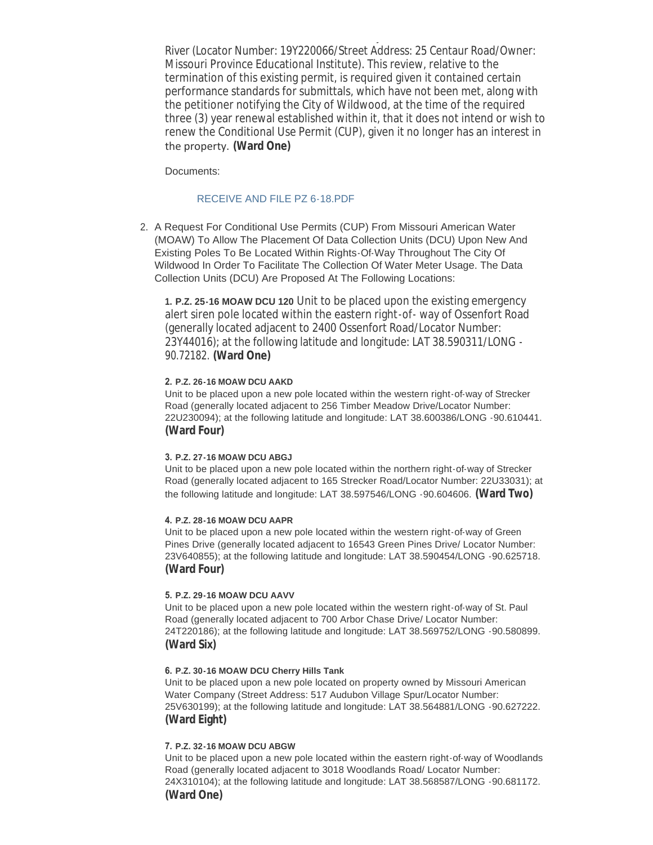River (Locator Number: 19Y220066/Street Address: 25 Centaur Road/Owner: Missouri Province Educational Institute). This review, relative to the termination of this existing permit, is required given it contained certain performance standards for submittals, which have not been met, along with the petitioner notifying the City of Wildwood, at the time of the required three (3) year renewal established within it, that it does not intend or wish to renew the Conditional Use Permit (CUP), given it no longer has an interest in the property. **(Ward One)**

located at the terminus of Wild Horse Valley Road and south of the Missouri

Documents:

## [RECEIVE AND FILE PZ 6-18.PDF](https://www.cityofwildwood.com/AgendaCenter/ViewFile/Item/15574?fileID=23370)

2. A Request For Conditional Use Permits (CUP) From Missouri American Water (MOAW) To Allow The Placement Of Data Collection Units (DCU) Upon New And Existing Poles To Be Located Within Rights-Of-Way Throughout The City Of Wildwood In Order To Facilitate The Collection Of Water Meter Usage. The Data Collection Units (DCU) Are Proposed At The Following Locations:

**1. P.Z. 25-16 MOAW DCU 120** Unit to be placed upon the existing emergency alert siren pole located within the eastern right-of- way of Ossenfort Road (generally located adjacent to 2400 Ossenfort Road/Locator Number: 23Y44016); at the following latitude and longitude: LAT 38.590311/LONG - 90.72182. **(Ward One)**

## **2. P.Z. 26-16 MOAW DCU AAKD**

Unit to be placed upon a new pole located within the western right-of-way of Strecker Road (generally located adjacent to 256 Timber Meadow Drive/Locator Number: 22U230094); at the following latitude and longitude: LAT 38.600386/LONG -90.610441. **(Ward Four)**

#### **3. P.Z. 27-16 MOAW DCU ABGJ**

Unit to be placed upon a new pole located within the northern right-of-way of Strecker Road (generally located adjacent to 165 Strecker Road/Locator Number: 22U33031); at the following latitude and longitude: LAT 38.597546/LONG -90.604606. **(Ward Two)**

#### **4. P.Z. 28-16 MOAW DCU AAPR**

Unit to be placed upon a new pole located within the western right-of-way of Green Pines Drive (generally located adjacent to 16543 Green Pines Drive/ Locator Number: 23V640855); at the following latitude and longitude: LAT 38.590454/LONG -90.625718. **(Ward Four)**

### **5. P.Z. 29-16 MOAW DCU AAVV**

Unit to be placed upon a new pole located within the western right-of-way of St. Paul Road (generally located adjacent to 700 Arbor Chase Drive/ Locator Number: 24T220186); at the following latitude and longitude: LAT 38.569752/LONG -90.580899. **(Ward Six)**

#### **6. P.Z. 30-16 MOAW DCU Cherry Hills Tank**

Unit to be placed upon a new pole located on property owned by Missouri American Water Company (Street Address: 517 Audubon Village Spur/Locator Number: 25V630199); at the following latitude and longitude: LAT 38.564881/LONG -90.627222. **(Ward Eight)**

### **7. P.Z. 32-16 MOAW DCU ABGW**

Unit to be placed upon a new pole located within the eastern right-of-way of Woodlands Road (generally located adjacent to 3018 Woodlands Road/ Locator Number: 24X310104); at the following latitude and longitude: LAT 38.568587/LONG -90.681172. **(Ward One)**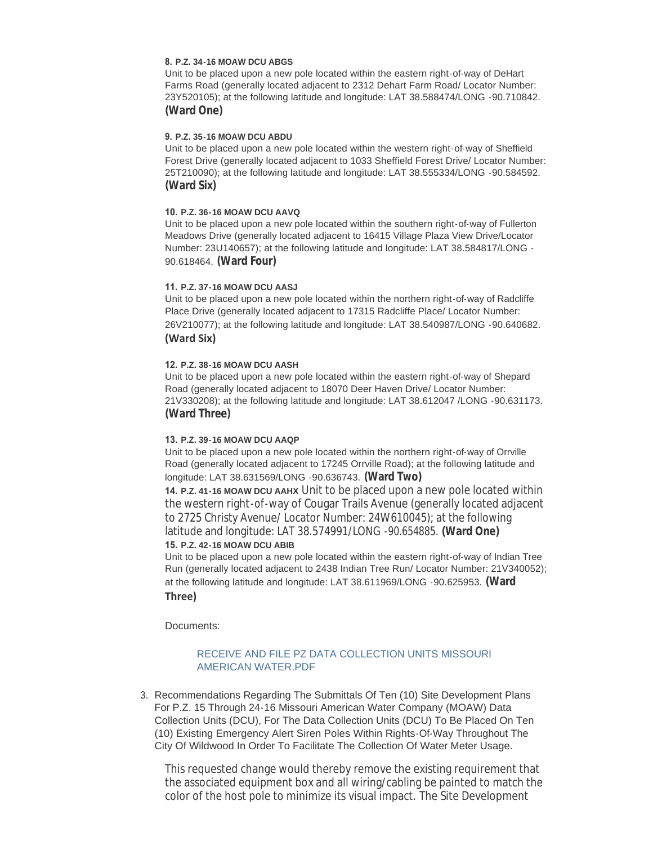### **8. P.Z. 34-16 MOAW DCU ABGS**

Unit to be placed upon a new pole located within the eastern right-of-way of DeHart Farms Road (generally located adjacent to 2312 Dehart Farm Road/ Locator Number: 23Y520105); at the following latitude and longitude: LAT 38.588474/LONG -90.710842. **(Ward One)**

### **9. P.Z. 35-16 MOAW DCU ABDU**

Unit to be placed upon a new pole located within the western right-of-way of Sheffield Forest Drive (generally located adjacent to 1033 Sheffield Forest Drive/ Locator Number: 25T210090); at the following latitude and longitude: LAT 38.555334/LONG -90.584592. **(Ward Six)**

## **10. P.Z. 36-16 MOAW DCU AAVQ**

Unit to be placed upon a new pole located within the southern right-of-way of Fullerton Meadows Drive (generally located adjacent to 16415 Village Plaza View Drive/Locator Number: 23U140657); at the following latitude and longitude: LAT 38.584817/LONG - 90.618464. **(Ward Four)**

## **11. P.Z. 37-16 MOAW DCU AASJ**

Unit to be placed upon a new pole located within the northern right-of-way of Radcliffe Place Drive (generally located adjacent to 17315 Radcliffe Place/ Locator Number: 26V210077); at the following latitude and longitude: LAT 38.540987/LONG -90.640682. **(Ward Six)** 

## **12. P.Z. 38-16 MOAW DCU AASH**

Unit to be placed upon a new pole located within the eastern right-of-way of Shepard Road (generally located adjacent to 18070 Deer Haven Drive/ Locator Number: 21V330208); at the following latitude and longitude: LAT 38.612047 /LONG -90.631173. **(Ward Three)**

### **13. P.Z. 39-16 MOAW DCU AAQP**

Unit to be placed upon a new pole located within the northern right-of-way of Orrville Road (generally located adjacent to 17245 Orrville Road); at the following latitude and longitude: LAT 38.631569/LONG -90.636743. **(Ward Two)**

**14. P.Z. 41-16 MOAW DCU AAHX** Unit to be placed upon a new pole located within the western right-of-way of Cougar Trails Avenue (generally located adjacent to 2725 Christy Avenue/ Locator Number: 24W610045); at the following latitude and longitude: LAT 38.574991/LONG -90.654885. **(Ward One) 15. P.Z. 42-16 MOAW DCU ABIB**

Unit to be placed upon a new pole located within the eastern right-of-way of Indian Tree Run (generally located adjacent to 2438 Indian Tree Run/ Locator Number: 21V340052); at the following latitude and longitude: LAT 38.611969/LONG -90.625953. **(Ward Three)** 

Documents:

# [RECEIVE AND FILE PZ DATA COLLECTION UNITS MISSOURI](https://www.cityofwildwood.com/AgendaCenter/ViewFile/Item/15575?fileID=23371)  AMERICAN WATER.PDF

3. Recommendations Regarding The Submittals Of Ten (10) Site Development Plans For P.Z. 15 Through 24-16 Missouri American Water Company (MOAW) Data Collection Units (DCU), For The Data Collection Units (DCU) To Be Placed On Ten (10) Existing Emergency Alert Siren Poles Within Rights-Of-Way Throughout The City Of Wildwood In Order To Facilitate The Collection Of Water Meter Usage.

This requested change would thereby remove the existing requirement that the associated equipment box and all wiring/cabling be painted to match the color of the host pole to minimize its visual impact. The Site Development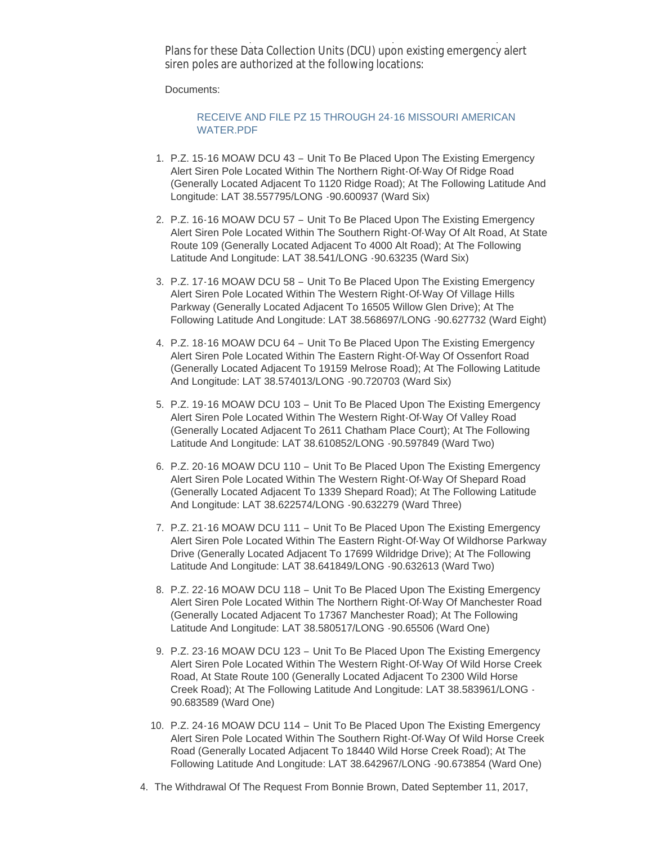color of the host pole to minimize its visual impact. The Site Development Plans for these Data Collection Units (DCU) upon existing emergency alert siren poles are authorized at the following locations:

Documents:

# [RECEIVE AND FILE PZ 15 THROUGH 24-16 MISSOURI AMERICAN](https://www.cityofwildwood.com/AgendaCenter/ViewFile/Item/15580?fileID=23374)  WATER.PDF

- 1. P.Z. 15-16 MOAW DCU 43 Unit To Be Placed Upon The Existing Emergency Alert Siren Pole Located Within The Northern Right-Of-Way Of Ridge Road (Generally Located Adjacent To 1120 Ridge Road); At The Following Latitude And Longitude: LAT 38.557795/LONG -90.600937 (Ward Six)
- 2. P.Z. 16-16 MOAW DCU 57 Unit To Be Placed Upon The Existing Emergency Alert Siren Pole Located Within The Southern Right-Of-Way Of Alt Road, At State Route 109 (Generally Located Adjacent To 4000 Alt Road); At The Following Latitude And Longitude: LAT 38.541/LONG -90.63235 (Ward Six)
- 3. P.Z. 17-16 MOAW DCU 58 Unit To Be Placed Upon The Existing Emergency Alert Siren Pole Located Within The Western Right-Of-Way Of Village Hills Parkway (Generally Located Adjacent To 16505 Willow Glen Drive); At The Following Latitude And Longitude: LAT 38.568697/LONG -90.627732 (Ward Eight)
- 4. P.Z. 18-16 MOAW DCU 64 Unit To Be Placed Upon The Existing Emergency Alert Siren Pole Located Within The Eastern Right-Of-Way Of Ossenfort Road (Generally Located Adjacent To 19159 Melrose Road); At The Following Latitude And Longitude: LAT 38.574013/LONG -90.720703 (Ward Six)
- 5. P.Z. 19-16 MOAW DCU 103 Unit To Be Placed Upon The Existing Emergency Alert Siren Pole Located Within The Western Right-Of-Way Of Valley Road (Generally Located Adjacent To 2611 Chatham Place Court); At The Following Latitude And Longitude: LAT 38.610852/LONG -90.597849 (Ward Two)
- 6. P.Z. 20-16 MOAW DCU 110 Unit To Be Placed Upon The Existing Emergency Alert Siren Pole Located Within The Western Right-Of-Way Of Shepard Road (Generally Located Adjacent To 1339 Shepard Road); At The Following Latitude And Longitude: LAT 38.622574/LONG -90.632279 (Ward Three)
- 7. P.Z. 21-16 MOAW DCU 111 Unit To Be Placed Upon The Existing Emergency Alert Siren Pole Located Within The Eastern Right-Of-Way Of Wildhorse Parkway Drive (Generally Located Adjacent To 17699 Wildridge Drive); At The Following Latitude And Longitude: LAT 38.641849/LONG -90.632613 (Ward Two)
- 8. P.Z. 22-16 MOAW DCU 118 Unit To Be Placed Upon The Existing Emergency Alert Siren Pole Located Within The Northern Right-Of-Way Of Manchester Road (Generally Located Adjacent To 17367 Manchester Road); At The Following Latitude And Longitude: LAT 38.580517/LONG -90.65506 (Ward One)
- 9. P.Z. 23-16 MOAW DCU 123 Unit To Be Placed Upon The Existing Emergency Alert Siren Pole Located Within The Western Right-Of-Way Of Wild Horse Creek Road, At State Route 100 (Generally Located Adjacent To 2300 Wild Horse Creek Road); At The Following Latitude And Longitude: LAT 38.583961/LONG - 90.683589 (Ward One)
- 10. P.Z. 24-16 MOAW DCU 114 Unit To Be Placed Upon The Existing Emergency Alert Siren Pole Located Within The Southern Right-Of-Way Of Wild Horse Creek Road (Generally Located Adjacent To 18440 Wild Horse Creek Road); At The Following Latitude And Longitude: LAT 38.642967/LONG -90.673854 (Ward One)
- 4. The Withdrawal Of The Request From Bonnie Brown, Dated September 11, 2017,